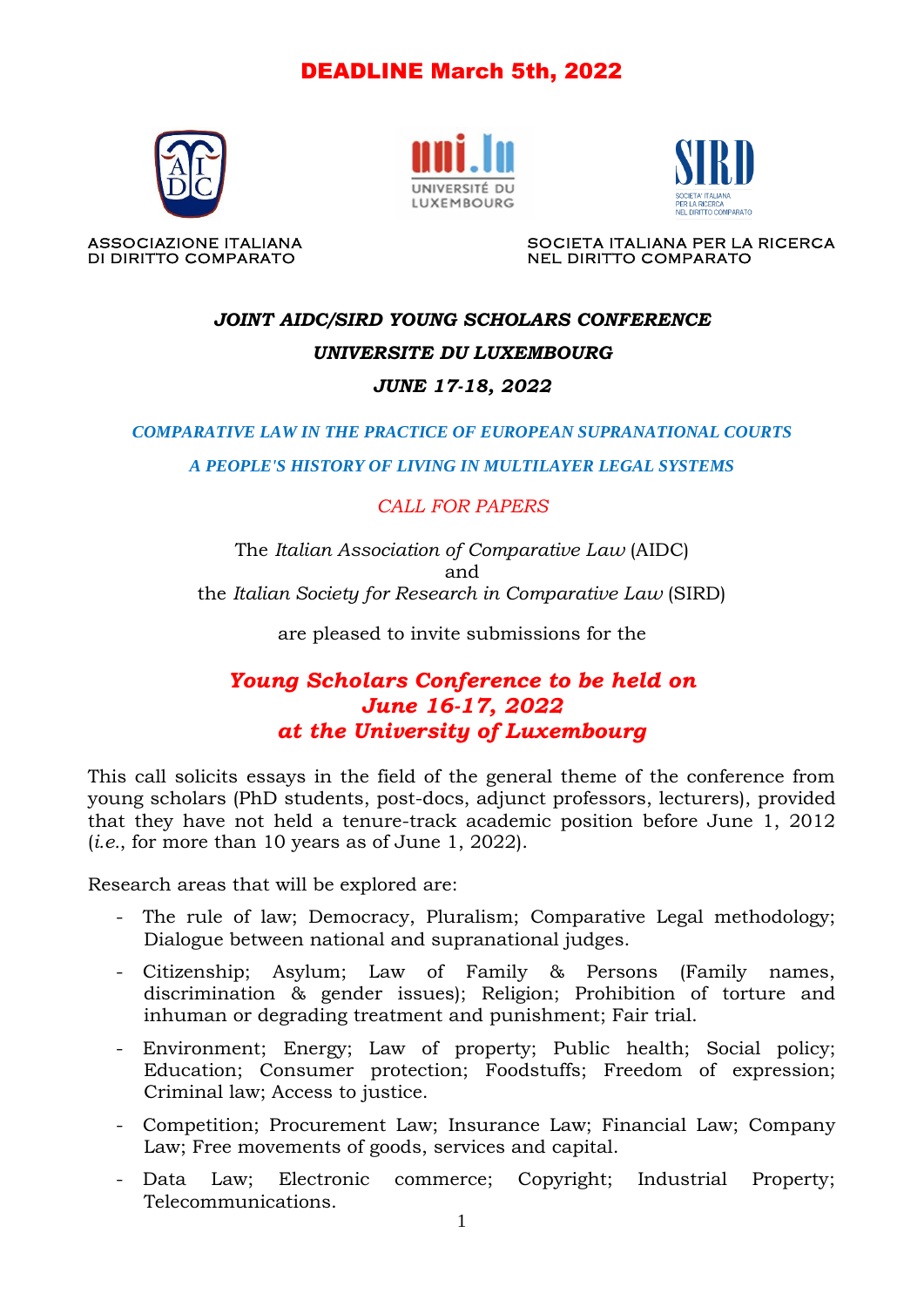# DEADLINE March 5th, 2022







ASSOCIAZIONE ITALIANA SOCIETA ITALIANA PER LA RICERCA DI DIRITTO COMPARATO NEL DIRITTO COMPARATO

# *JOINT AIDC/SIRD YOUNG SCHOLARS CONFERENCE UNIVERSITE DU LUXEMBOURG*

#### *JUNE 17-18, 2022*

*COMPARATIVE LAW IN THE PRACTICE OF EUROPEAN SUPRANATIONAL COURTS*

*A PEOPLE'S HISTORY OF LIVING IN MULTILAYER LEGAL SYSTEMS*

### *CALL FOR PAPERS*

The *Italian Association of Comparative Law* (AIDC) and the *Italian Society for Research in Comparative Law* (SIRD)

are pleased to invite submissions for the

## *Young Scholars Conference to be held on June 16-17, 2022 at the University of Luxembourg*

This call solicits essays in the field of the general theme of the conference from young scholars (PhD students, post-docs, adjunct professors, lecturers), provided that they have not held a tenure-track academic position before June 1, 2012 (*i.e.*, for more than 10 years as of June 1, 2022).

Research areas that will be explored are:

- The rule of law; Democracy, Pluralism; Comparative Legal methodology; Dialogue between national and supranational judges.
- Citizenship; Asylum; Law of Family & Persons (Family names, discrimination & gender issues); Religion; Prohibition of torture and inhuman or degrading treatment and punishment; Fair trial.
- Environment; Energy; Law of property; Public health; Social policy; Education; Consumer protection; Foodstuffs; Freedom of expression; Criminal law; Access to justice.
- Competition; Procurement Law; Insurance Law; Financial Law; Company Law; Free movements of goods, services and capital.
- Data Law; Electronic commerce; Copyright; Industrial Property; Telecommunications.